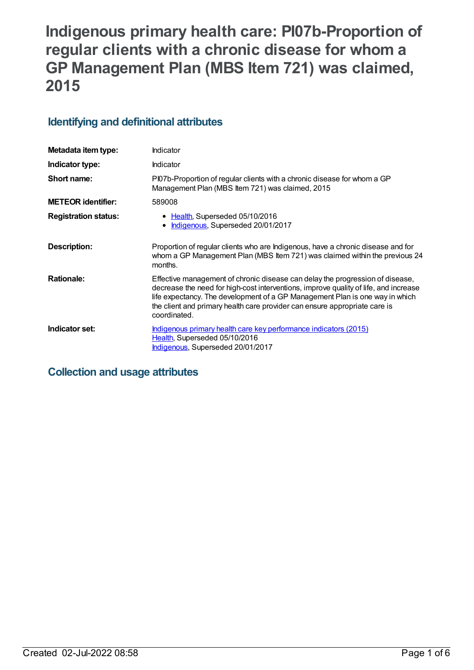# **Indigenous primary health care: PI07b-Proportion of regular clients with a chronic disease for whom a GP Management Plan (MBS Item 721) was claimed, 2015**

## **Identifying and definitional attributes**

| Metadata item type:         | Indicator                                                                                                                                                                                                                                                                                                                                           |
|-----------------------------|-----------------------------------------------------------------------------------------------------------------------------------------------------------------------------------------------------------------------------------------------------------------------------------------------------------------------------------------------------|
| Indicator type:             | Indicator                                                                                                                                                                                                                                                                                                                                           |
| Short name:                 | PI07b-Proportion of regular clients with a chronic disease for whom a GP<br>Management Plan (MBS Item 721) was claimed, 2015                                                                                                                                                                                                                        |
| <b>METEOR identifier:</b>   | 589008                                                                                                                                                                                                                                                                                                                                              |
| <b>Registration status:</b> | • Health, Superseded 05/10/2016<br>Indigenous, Superseded 20/01/2017                                                                                                                                                                                                                                                                                |
| Description:                | Proportion of regular clients who are Indigenous, have a chronic disease and for<br>whom a GP Management Plan (MBS Item 721) was claimed within the previous 24<br>months.                                                                                                                                                                          |
| <b>Rationale:</b>           | Effective management of chronic disease can delay the progression of disease,<br>decrease the need for high-cost interventions, improve quality of life, and increase<br>life expectancy. The development of a GP Management Plan is one way in which<br>the client and primary health care provider can ensure appropriate care is<br>coordinated. |
| Indicator set:              | Indigenous primary health care key performance indicators (2015)<br>Health, Superseded 05/10/2016<br>Indigenous, Superseded 20/01/2017                                                                                                                                                                                                              |

## **Collection and usage attributes**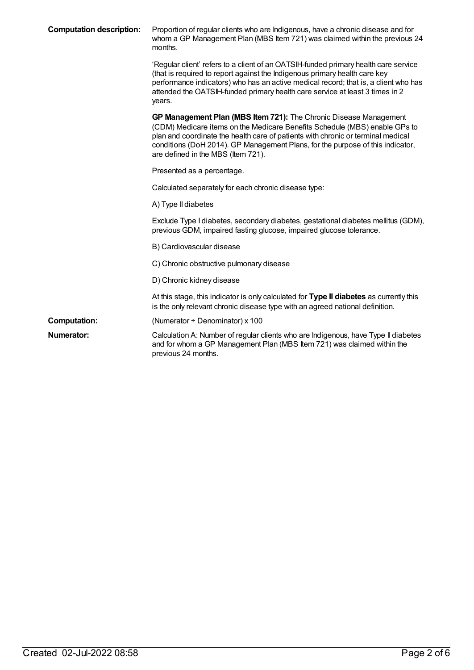| <b>Computation description:</b> | Proportion of regular clients who are Indigenous, have a chronic disease and for<br>whom a GP Management Plan (MBS Item 721) was claimed within the previous 24<br>months.                                                                                                                                                                                  |
|---------------------------------|-------------------------------------------------------------------------------------------------------------------------------------------------------------------------------------------------------------------------------------------------------------------------------------------------------------------------------------------------------------|
|                                 | 'Regular client' refers to a client of an OATSIH-funded primary health care service<br>(that is required to report against the Indigenous primary health care key<br>performance indicators) who has an active medical record; that is, a client who has<br>attended the OATSIH-funded primary health care service at least 3 times in 2<br>years.          |
|                                 | GP Management Plan (MBS Item 721): The Chronic Disease Management<br>(CDM) Medicare items on the Medicare Benefits Schedule (MBS) enable GPs to<br>plan and coordinate the health care of patients with chronic or terminal medical<br>conditions (DoH 2014). GP Management Plans, for the purpose of this indicator,<br>are defined in the MBS (Item 721). |
|                                 | Presented as a percentage.                                                                                                                                                                                                                                                                                                                                  |
|                                 | Calculated separately for each chronic disease type:                                                                                                                                                                                                                                                                                                        |
|                                 | A) Type II diabetes                                                                                                                                                                                                                                                                                                                                         |
|                                 | Exclude Type I diabetes, secondary diabetes, gestational diabetes mellitus (GDM),<br>previous GDM, impaired fasting glucose, impaired glucose tolerance.                                                                                                                                                                                                    |
|                                 | B) Cardiovascular disease                                                                                                                                                                                                                                                                                                                                   |
|                                 | C) Chronic obstructive pulmonary disease                                                                                                                                                                                                                                                                                                                    |
|                                 | D) Chronic kidney disease                                                                                                                                                                                                                                                                                                                                   |
|                                 | At this stage, this indicator is only calculated for Type II diabetes as currently this<br>is the only relevant chronic disease type with an agreed national definition.                                                                                                                                                                                    |
| <b>Computation:</b>             | (Numerator $\div$ Denominator) x 100                                                                                                                                                                                                                                                                                                                        |
| Numerator:                      | Calculation A: Number of regular clients who are Indigenous, have Type II diabetes<br>and for whom a GP Management Plan (MBS Item 721) was claimed within the<br>previous 24 months.                                                                                                                                                                        |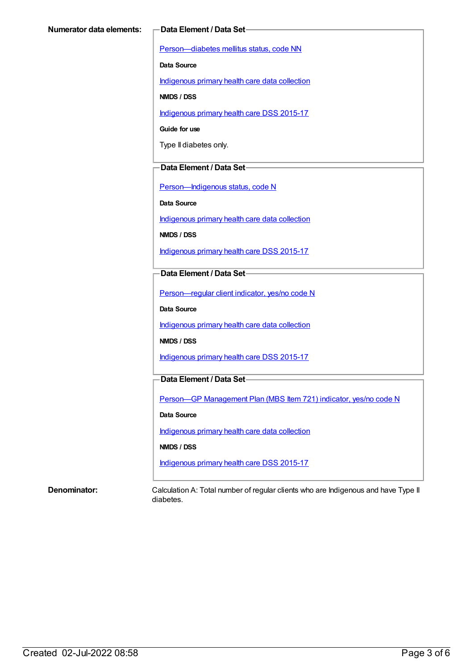[Person—diabetes](https://meteor.aihw.gov.au/content/270194) mellitus status, code NN

**Data Source**

[Indigenous](https://meteor.aihw.gov.au/content/430643) primary health care data collection

**NMDS / DSS**

[Indigenous](https://meteor.aihw.gov.au/content/585036) primary health care DSS 2015-17

**Guide for use**

Type II diabetes only.

#### **Data Element / Data Set**

[Person—Indigenous](https://meteor.aihw.gov.au/content/291036) status, code N

**Data Source**

[Indigenous](https://meteor.aihw.gov.au/content/430643) primary health care data collection

**NMDS / DSS**

[Indigenous](https://meteor.aihw.gov.au/content/585036) primary health care DSS 2015-17

#### **Data Element / Data Set**

[Person—regular](https://meteor.aihw.gov.au/content/436639) client indicator, yes/no code N

**Data Source**

[Indigenous](https://meteor.aihw.gov.au/content/430643) primary health care data collection

**NMDS / DSS**

[Indigenous](https://meteor.aihw.gov.au/content/585036) primary health care DSS 2015-17

### **Data Element / Data Set**

Person-GP [Management](https://meteor.aihw.gov.au/content/504966) Plan (MBS Item 721) indicator, yes/no code N

**Data Source**

[Indigenous](https://meteor.aihw.gov.au/content/430643) primary health care data collection

**NMDS / DSS**

[Indigenous](https://meteor.aihw.gov.au/content/585036) primary health care DSS 2015-17

**Denominator:** Calculation A: Total number of regular clients who are Indigenous and have Type II diabetes.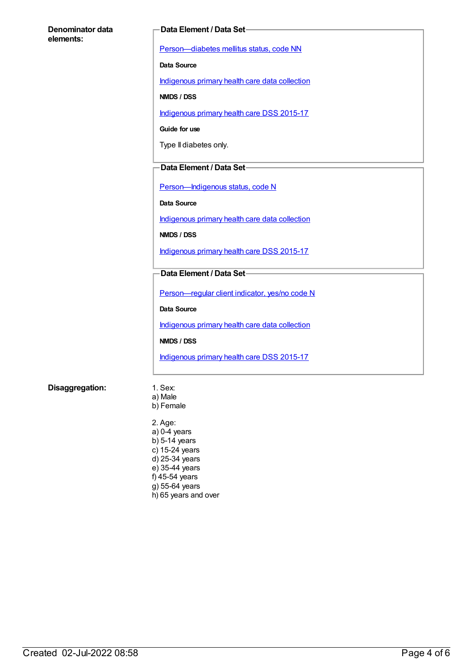#### **Denominator data elements:**

#### **Data Element / Data Set**

[Person—diabetes](https://meteor.aihw.gov.au/content/270194) mellitus status, code NN

**Data Source**

[Indigenous](https://meteor.aihw.gov.au/content/430643) primary health care data collection

**NMDS / DSS**

[Indigenous](https://meteor.aihw.gov.au/content/585036) primary health care DSS 2015-17

**Guide for use**

Type II diabetes only.

#### **Data Element / Data Set**

Person-Indigenous status, code N

**Data Source**

[Indigenous](https://meteor.aihw.gov.au/content/430643) primary health care data collection

**NMDS / DSS**

[Indigenous](https://meteor.aihw.gov.au/content/585036) primary health care DSS 2015-17

#### **Data Element / Data Set**

[Person—regular](https://meteor.aihw.gov.au/content/436639) client indicator, yes/no code N

**Data Source**

[Indigenous](https://meteor.aihw.gov.au/content/430643) primary health care data collection

**NMDS / DSS**

[Indigenous](https://meteor.aihw.gov.au/content/585036) primary health care DSS 2015-17

#### **Disaggregation:** 1. Sex:

- a) Male
- b) Female

2. Age: a) 0-4 years  $b)$  5-14 years c) 15-24 years d) 25-34 years e) 35-44 years f) 45-54 years  $g$ ) 55-64 years h) 65 years and over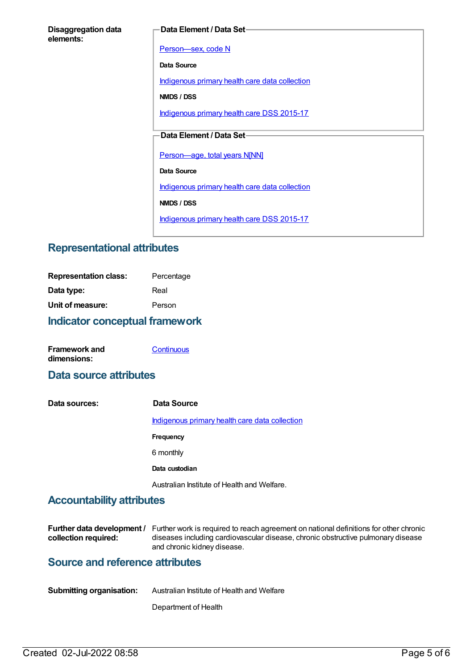#### **Data Element / Data Set**

[Person—sex,](https://meteor.aihw.gov.au/content/287316) code N

**Data Source**

[Indigenous](https://meteor.aihw.gov.au/content/430643) primary health care data collection

**NMDS / DSS**

[Indigenous](https://meteor.aihw.gov.au/content/585036) primary health care DSS 2015-17

### **Data Element / Data Set**

[Person—age,](https://meteor.aihw.gov.au/content/303794) total years N[NN]

**Data Source**

[Indigenous](https://meteor.aihw.gov.au/content/430643) primary health care data collection

**NMDS / DSS**

[Indigenous](https://meteor.aihw.gov.au/content/585036) primary health care DSS 2015-17

## **Representational attributes**

| Indicator conceptual framework |            |
|--------------------------------|------------|
| Unit of measure:               | Person     |
| Data type:                     | Real       |
| <b>Representation class:</b>   | Percentage |

| <b>Framework and</b> | Continuous |
|----------------------|------------|
| dimensions:          |            |

## **Data source attributes**

**Data sources: Data Source** [Indigenous](https://meteor.aihw.gov.au/content/430643) primary health care data collection **Frequency** 6 monthly **Data custodian** Australian Institute of Health and Welfare.

## **Accountability attributes**

|                      | <b>Further data development</b> / Further work is required to reach agreement on national definitions for other chronic |
|----------------------|-------------------------------------------------------------------------------------------------------------------------|
| collection required: | diseases including cardiovascular disease, chronic obstructive pulmonary disease                                        |
|                      | and chronic kidney disease.                                                                                             |

## **Source and reference attributes**

| <b>Submitting organisation:</b> | Australian Institute of Health and Welfare |
|---------------------------------|--------------------------------------------|
|                                 |                                            |

Department of Health